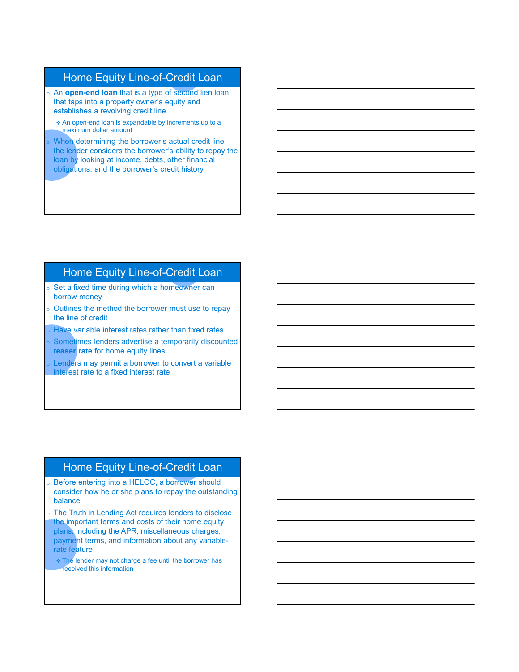# Home Equity Line-of-Credit Loan

- o An **open-end loan** that is a type of second lien loan that taps into a property owner's equity and establishes a revolving credit line
- An open-end loan is expandable by increments up to a maximum dollar amount
- When determining the borrower's actual credit line, the lender considers the borrower's ability to repay the loan by looking at income, debts, other financial obligations, and the borrower's credit history

# Home Equity Line-of-Credit Loan

- o Set a fixed time during which a homeowner can borrow money
- $\circ$  Outlines the method the borrower must use to repay the line of credit
- Have variable interest rates rather than fixed rates
- Sometimes lenders advertise a temporarily discounted **teaser rate** for home equity lines
- Lenders may permit a borrower to convert a variable interest rate to a fixed interest rate

#### Home Equity Line-of-Credit Loan

- o Before entering into a HELOC, a borrower should consider how he or she plans to repay the outstanding balance
- The Truth in Lending Act requires lenders to disclose the important terms and costs of their home equity plans, including the APR, miscellaneous charges, payment terms, and information about any variablerate feature
	- The lender may not charge a fee until the borrower has received this information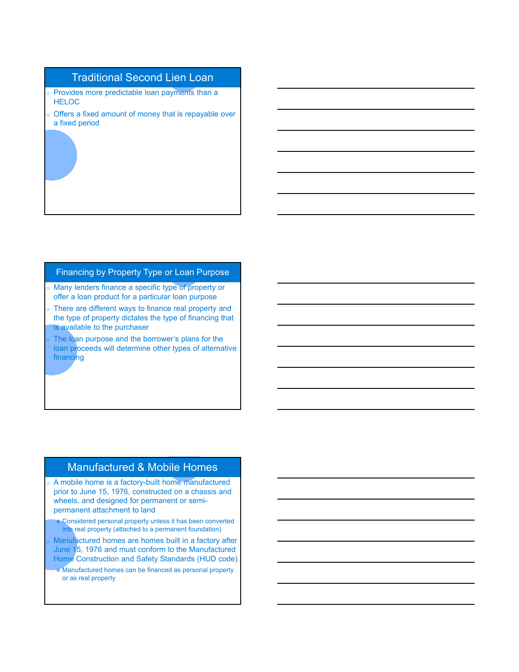## Traditional Second Lien Loan

- o Provides more predictable loan payments than a **HELOC**
- $\circ$  Offers a fixed amount of money that is repayable over a fixed period

#### Financing by Property Type or Loan Purpose

- o Many lenders finance a specific type of property or offer a loan product for a particular loan purpose
- $\circ$  There are different ways to finance real property and the type of property dictates the type of financing that is available to the purchaser
- The loan purpose and the borrower's plans for the loan proceeds will determine other types of alternative financing

#### Manufactured & Mobile Homes

- o A mobile home is a factory-built home manufactured prior to June 15, 1976, constructed on a chassis and wheels, and designed for permanent or semipermanent attachment to land
	- **Considered personal property unless it has been converted** into real property (attached to a permanent foundation)
- Manufactured homes are homes built in a factory after June 15, 1976 and must conform to the Manufactured Home Construction and Safety Standards (HUD code)
- Manufactured homes can be financed as personal property or as real property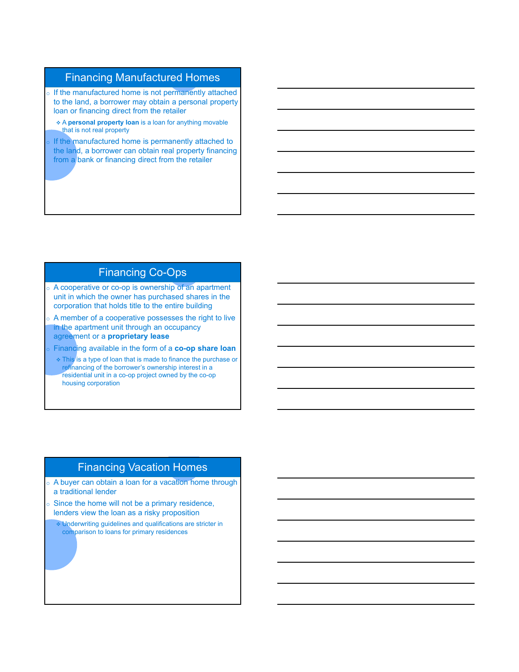## Financing Manufactured Homes

- o If the manufactured home is not permanently attached to the land, a borrower may obtain a personal property loan or financing direct from the retailer
- A **personal property loan** is a loan for anything movable that is not real property
- If the manufactured home is permanently attached to the land, a borrower can obtain real property financing from a bank or financing direct from the retailer

# Financing Co-Ops

- o A cooperative or co-op is ownership of an apartment unit in which the owner has purchased shares in the corporation that holds title to the entire building
- $\circ$  A member of a cooperative possesses the right to live in the apartment unit through an occupancy agreement or a **proprietary lease**
- Financing available in the form of a **co-op share loan** 
	- **This is a type of loan that is made to finance the purchase or** refinancing of the borrower's ownership interest in a residential unit in a co-op project owned by the co-op housing corporation

## Financing Vacation Homes

- o A buyer can obtain a loan for a vacation home through a traditional lender
- $\circ$  Since the home will not be a primary residence, lenders view the loan as a risky proposition
	- Underwriting guidelines and qualifications are stricter in comparison to loans for primary residences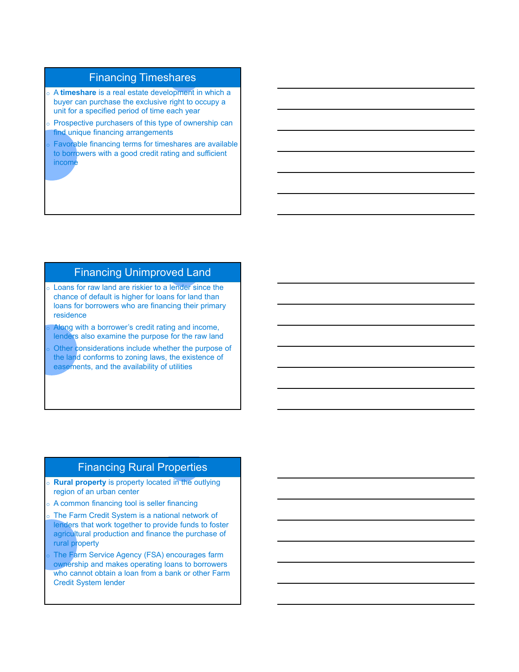## Financing Timeshares

- o A **timeshare** is a real estate development in which a buyer can purchase the exclusive right to occupy a unit for a specified period of time each year
- Prospective purchasers of this type of ownership can find unique financing arrangements
- Favorable financing terms for timeshares are available to borrowers with a good credit rating and sufficient income

# Financing Unimproved Land

- o Loans for raw land are riskier to a lender since the chance of default is higher for loans for land than loans for borrowers who are financing their primary residence
- Along with a borrower's credit rating and income, lenders also examine the purpose for the raw land
- Other considerations include whether the purpose of the land conforms to zoning laws, the existence of easements, and the availability of utilities

#### Financing Rural Properties

- o **Rural property** is property located in the outlying region of an urban center
- A common financing tool is seller financing
- The Farm Credit System is a national network of lenders that work together to provide funds to foster agricultural production and finance the purchase of rural property
- The Farm Service Agency (FSA) encourages farm ownership and makes operating loans to borrowers who cannot obtain a loan from a bank or other Farm Credit System lender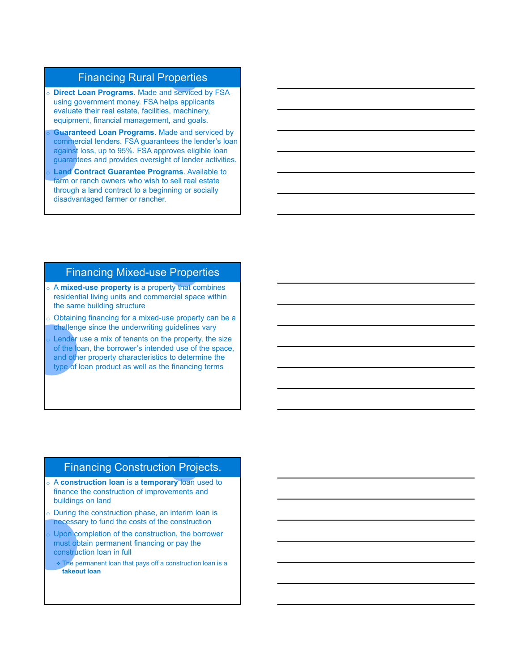## Financing Rural Properties

- o **Direct Loan Programs**. Made and serviced by FSA using government money. FSA helps applicants evaluate their real estate, facilities, machinery, equipment, financial management, and goals.
- **Guaranteed Loan Programs**. Made and serviced by commercial lenders. FSA guarantees the lender's loan against loss, up to 95%. FSA approves eligible loan guarantees and provides oversight of lender activities.
- **Land Contract Guarantee Programs**. Available to farm or ranch owners who wish to sell real estate through a land contract to a beginning or socially disadvantaged farmer or rancher.

#### Financing Mixed-use Properties

- o A **mixed-use property** is a property that combines residential living units and commercial space within the same building structure
- Obtaining financing for a mixed-use property can be a challenge since the underwriting guidelines vary
- Lender use a mix of tenants on the property, the size of the loan, the borrower's intended use of the space, and other property characteristics to determine the type of loan product as well as the financing terms

#### Financing Construction Projects.

- o A **construction loan** is a **temporary** loan used to finance the construction of improvements and buildings on land
- During the construction phase, an interim loan is necessary to fund the costs of the construction
- Upon completion of the construction, the borrower must obtain permanent financing or pay the construction loan in full
	- $\cdot$  The permanent loan that pays off a construction loan is a **takeout loan**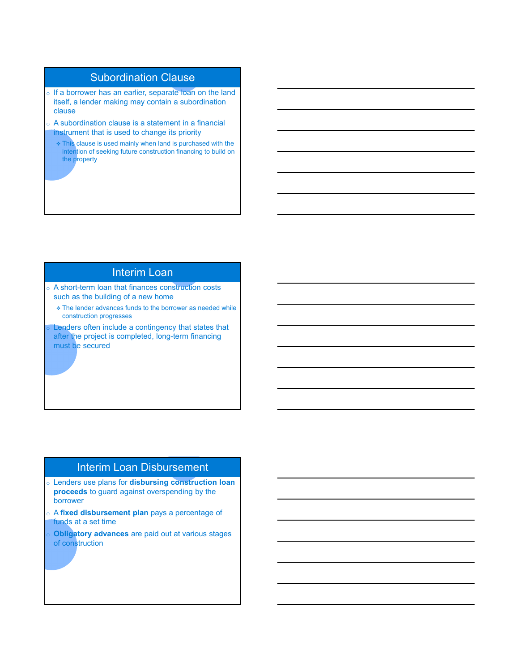# Subordination Clause

- o If a borrower has an earlier, separate loan on the land itself, a lender making may contain a subordination clause
- o A subordination clause is a statement in a financial instrument that is used to change its priority
	- This clause is used mainly when land is purchased with the intention of seeking future construction financing to build on the property

#### Interim Loan

- o A short-term loan that finances construction costs such as the building of a new home
	- The lender advances funds to the borrower as needed while construction progresses

Lenders often include a contingency that states that after the project is completed, long-term financing must be secured

#### Interim Loan Disbursement

- o Lenders use plans for **disbursing construction loan proceeds** to guard against overspending by the borrower
- o A **fixed disbursement plan** pays a percentage of funds at a set time
- **Obligatory advances** are paid out at various stages of construction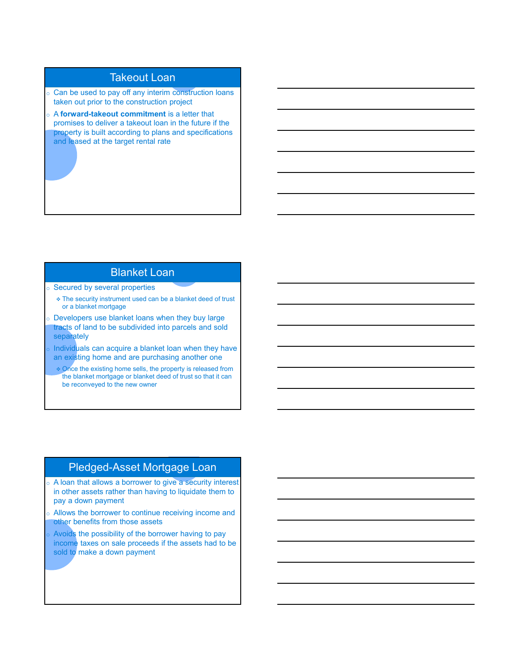## Takeout Loan

- o Can be used to pay off any interim construction loans taken out prior to the construction project
- o A **forward-takeout commitment** is a letter that promises to deliver a takeout loan in the future if the property is built according to plans and specifications and leased at the target rental rate

#### Blanket Loan

- o Secured by several properties
	- The security instrument used can be a blanket deed of trust or a blanket mortgage
- o Developers use blanket loans when they buy large tracts of land to be subdivided into parcels and sold separately
- Individuals can acquire a blanket loan when they have an existing home and are purchasing another one
- Once the existing home sells, the property is released from the blanket mortgage or blanket deed of trust so that it can be reconveyed to the new owner

#### Pledged-Asset Mortgage Loan

- o A loan that allows a borrower to give a security interest in other assets rather than having to liquidate them to pay a down payment
- Allows the borrower to continue receiving income and other benefits from those assets
- Avoids the possibility of the borrower having to pay income taxes on sale proceeds if the assets had to be sold to make a down payment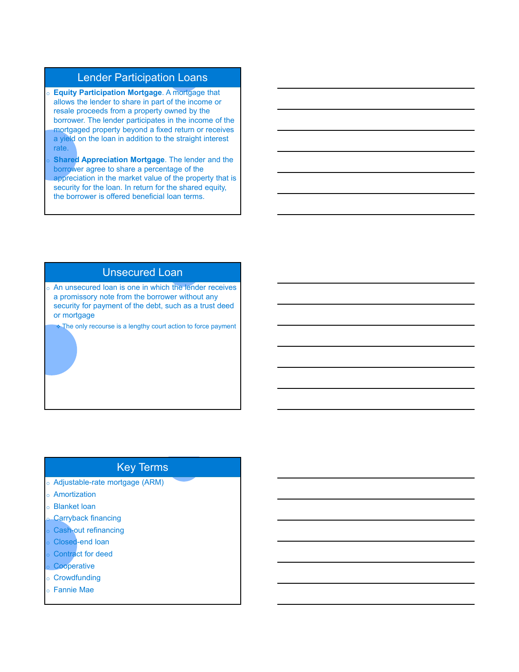## Lender Participation Loans

- o **Equity Participation Mortgage**. A mortgage that allows the lender to share in part of the income or resale proceeds from a property owned by the borrower. The lender participates in the income of the mortgaged property beyond a fixed return or receives a yield on the loan in addition to the straight interest rate.
- **Shared Appreciation Mortgage.** The lender and the borrower agree to share a percentage of the appreciation in the market value of the property that is security for the loan. In return for the shared equity, the borrower is offered beneficial loan terms.

#### Unsecured Loan

o An unsecured loan is one in which the lender receives a promissory note from the borrower without any security for payment of the debt, such as a trust deed or mortgage

 $\bullet$  The only recourse is a lengthy court action to force payment

# Key Terms

- o Adjustable-rate mortgage (ARM)
- o Amortization
- o Blanket loan
- **Carryback financing**
- Cash-out refinancing
- Closed-end loan
- Contract for deed
- Cooperative
- o Crowdfunding
- o Fannie Mae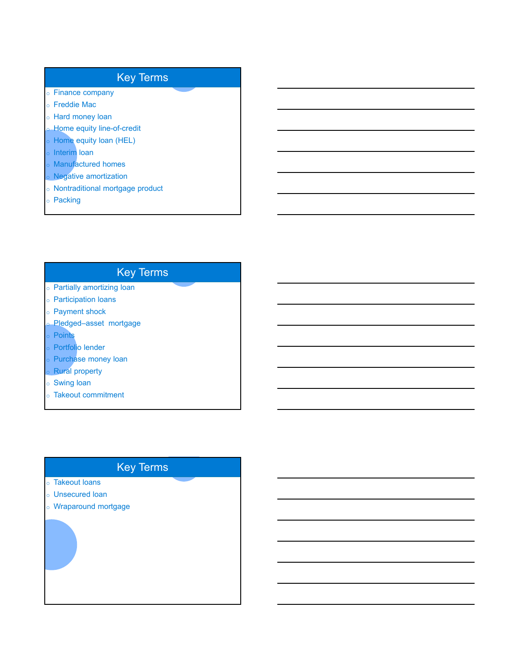# Key Terms

- o Finance company
- o Freddie Mac
- o Hard money loan
- **Home equity line-of-credit**
- o Home equity loan (HEL)
- **o** Interim loan
- o Manufactured homes
- o Negative amortization
- o Nontraditional mortgage product
- o Packing

# Key Terms

- o Partially amortizing loan
- o Participation loans
- o Payment shock
- Pledged–asset mortgage
- o Points
- o Portfolio lender
- o Purchase money loan
- **Rural property**
- o Swing loan
- o Takeout commitment

# Key Terms

- o Takeout loans
- o Unsecured loan
- o Wraparound mortgage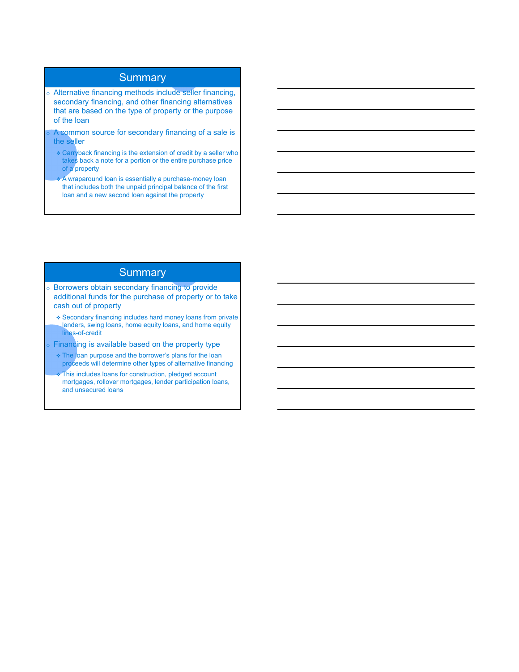## **Summary**

- o Alternative financing methods include seller financing, secondary financing, and other financing alternatives that are based on the type of property or the purpose of the loan
- A common source for secondary financing of a sale is the seller
	- Carryback financing is the extension of credit by a seller who takes back a note for a portion or the entire purchase price of a property
	- A wraparound loan is essentially a purchase-money loan that includes both the unpaid principal balance of the first loan and a new second loan against the property

## **Summary**

- o Borrowers obtain secondary financing to provide additional funds for the purchase of property or to take cash out of property
	- Secondary financing includes hard money loans from private lenders, swing loans, home equity loans, and home equity lines-of-credit
- Financing is available based on the property type
- The loan purpose and the borrower's plans for the loan proceeds will determine other types of alternative financing
- This includes loans for construction, pledged account mortgages, rollover mortgages, lender participation loans, and unsecured loans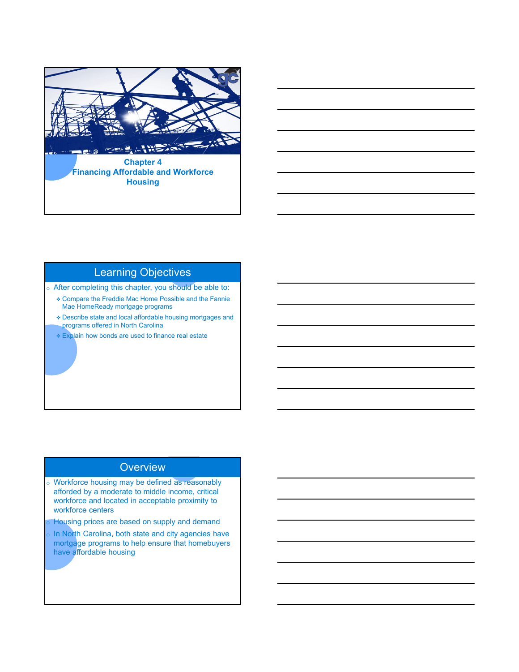

# Learning Objectives

o After completing this chapter, you should be able to:

- Compare the Freddie Mac Home Possible and the Fannie Mae HomeReady mortgage programs
- Describe state and local affordable housing mortgages and programs offered in North Carolina
- Explain how bonds are used to finance real estate

#### **Overview**

- o Workforce housing may be defined as reasonably afforded by a moderate to middle income, critical workforce and located in acceptable proximity to workforce centers
- Housing prices are based on supply and demand
- In North Carolina, both state and city agencies have mortgage programs to help ensure that homebuyers have affordable housing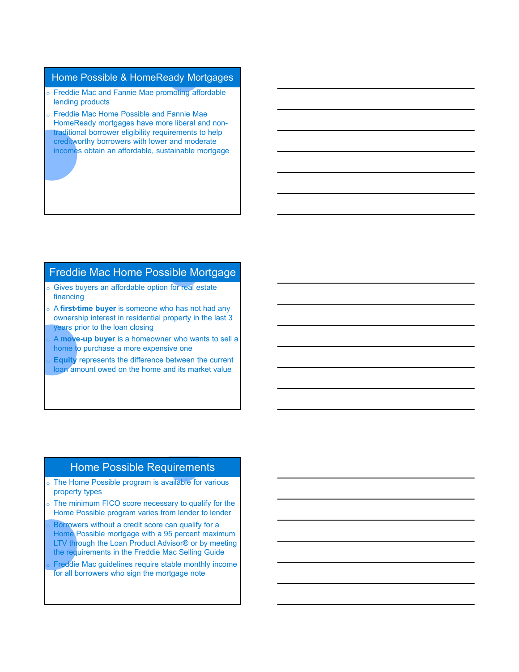#### Home Possible & HomeReady Mortgages

- o Freddie Mac and Fannie Mae promoting affordable lending products
- o Freddie Mac Home Possible and Fannie Mae HomeReady mortgages have more liberal and nontraditional borrower eligibility requirements to help creditworthy borrowers with lower and moderate incomes obtain an affordable, sustainable mortgage

# 5 Freddie Mac Home Possible Mortgage

- o Gives buyers an affordable option for real estate financing
- o A **first-time buyer** is someone who has not had any ownership interest in residential property in the last 3 years prior to the loan closing
- A **move-up buyer** is a homeowner who wants to sell a home to purchase a more expensive one
- **Equity** represents the difference between the current loan amount owed on the home and its market value

#### Home Possible Requirements

- o The Home Possible program is available for various property types
- o The minimum FICO score necessary to qualify for the Home Possible program varies from lender to lender
- Borrowers without a credit score can qualify for a Home Possible mortgage with a 95 percent maximum LTV through the Loan Product Advisor<sup>®</sup> or by meeting the requirements in the Freddie Mac Selling Guide
- Freddie Mac guidelines require stable monthly income for all borrowers who sign the mortgage note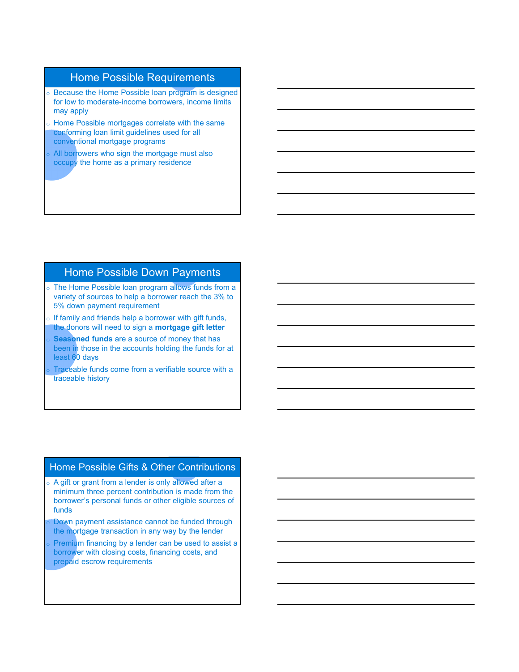## Home Possible Requirements

- **Because the Home Possible loan program is designed** for low to moderate-income borrowers, income limits may apply
- o Home Possible mortgages correlate with the same conforming loan limit guidelines used for all conventional mortgage programs
- All borrowers who sign the mortgage must also occupy the home as a primary residence

## Home Possible Down Payments

- o The Home Possible loan program allows funds from a variety of sources to help a borrower reach the 3% to 5% down payment requirement
- $\circ$  If family and friends help a borrower with gift funds, the donors will need to sign a **mortgage gift letter**
- **Seasoned funds** are a source of money that has been in those in the accounts holding the funds for at least 60 days
- Traceable funds come from a verifiable source with a traceable history

# Home Possible Gifts & Other Contributions

- o A gift or grant from a lender is only allowed after a minimum three percent contribution is made from the borrower's personal funds or other eligible sources of funds
- Down payment assistance cannot be funded through the mortgage transaction in any way by the lender
- Premium financing by a lender can be used to assist a borrower with closing costs, financing costs, and prepaid escrow requirements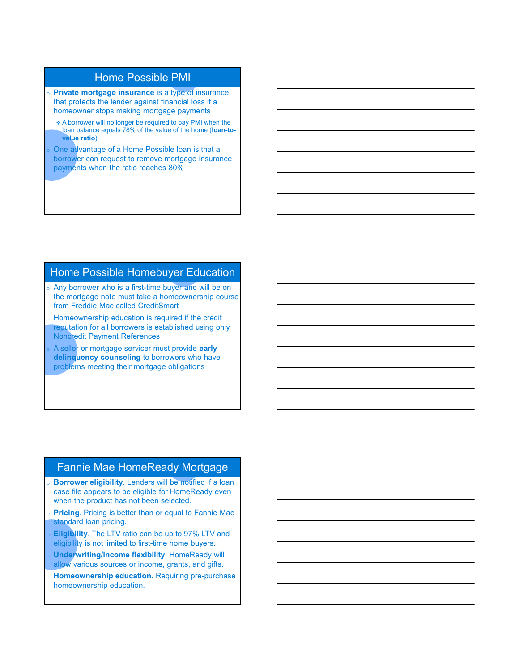# Home Possible PMI

- o **Private mortgage insurance** is a type of insurance that protects the lender against financial loss if a homeowner stops making mortgage payments
- A borrower will no longer be required to pay PMI when the loan balance equals 78% of the value of the home (**loan-tovalue ratio**)
- One advantage of a Home Possible loan is that a borrower can request to remove mortgage insurance payments when the ratio reaches 80%

# Home Possible Homebuyer Education

- o Any borrower who is a first-time buyer and will be on the mortgage note must take a homeownership course from Freddie Mac called CreditSmart
- $\circ$  Homeownership education is required if the credit reputation for all borrowers is established using only Noncredit Payment References
- A seller or mortgage servicer must provide **early delinquency counseling** to borrowers who have problems meeting their mortgage obligations

#### Fannie Mae HomeReady Mortgage

- o **Borrower eligibility**. Lenders will be notified if a loan case file appears to be eligible for HomeReady even when the product has not been selected.
- **Pricing**. Pricing is better than or equal to Fannie Mae standard loan pricing.
- **Eligibility**. The LTV ratio can be up to 97% LTV and eligibility is not limited to first-time home buyers.
- **Underwriting/income flexibility. HomeReady will** allow various sources or income, grants, and gifts.
- **Homeownership education.** Requiring pre-purchase homeownership education.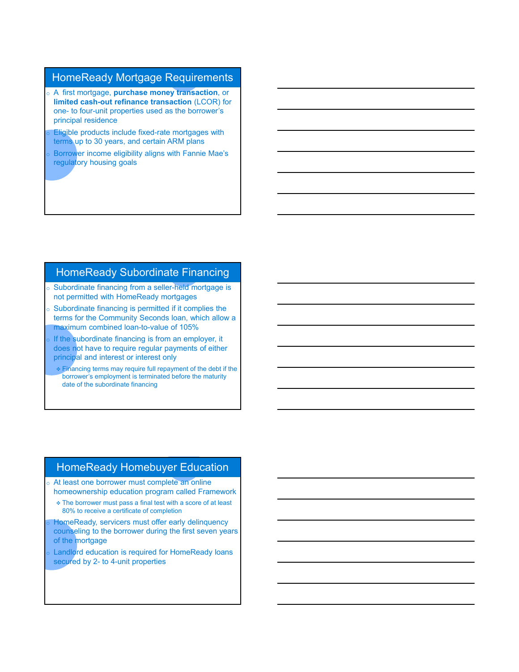## HomeReady Mortgage Requirements

- o A first mortgage, **purchase money transaction**, or **limited cash-out refinance transaction** (LCOR) for one- to four-unit properties used as the borrower's principal residence
- **Eligible products include fixed-rate mortgages with** terms up to 30 years, and certain ARM plans
- Borrower income eligibility aligns with Fannie Mae's regulatory housing goals

#### HomeReady Subordinate Financing

- o Subordinate financing from a seller-held mortgage is not permitted with HomeReady mortgages
- $\circ$  Subordinate financing is permitted if it complies the terms for the Community Seconds loan, which allow a maximum combined loan-to-value of 105%
- If the subordinate financing is from an employer, it does not have to require regular payments of either principal and interest or interest only
- Financing terms may require full repayment of the debt if the borrower's employment is terminated before the maturity date of the subordinate financing

#### HomeReady Homebuyer Education

- o At least one borrower must complete an online homeownership education program called Framework
	- The borrower must pass a final test with a score of at least 80% to receive a certificate of completion
- HomeReady, servicers must offer early delinquency counseling to the borrower during the first seven years of the mortgage
- Landlord education is required for HomeReady loans secured by 2- to 4-unit properties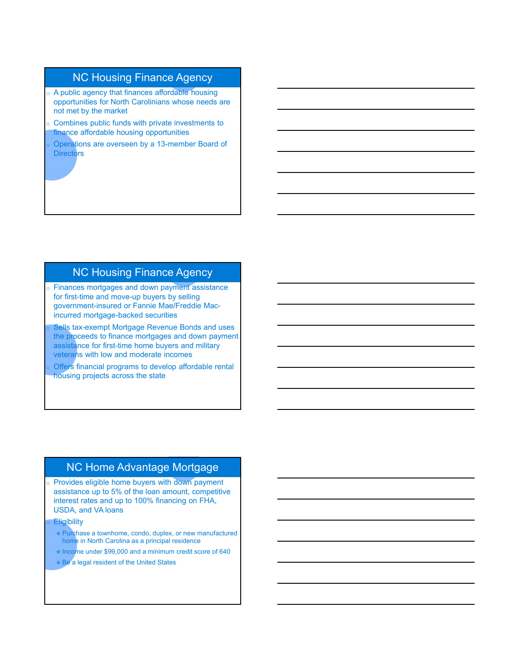# NC Housing Finance Agency

- o A public agency that finances affordable housing opportunities for North Carolinians whose needs are not met by the market
- $\circ$  Combines public funds with private investments to finance affordable housing opportunities
- Operations are overseen by a 13-member Board of **Directors**

# NC Housing Finance Agency

- o Finances mortgages and down payment assistance for first-time and move-up buyers by selling government-insured or Fannie Mae/Freddie Macincurred mortgage-backed securities
- Sells tax-exempt Mortgage Revenue Bonds and uses the proceeds to finance mortgages and down payment assistance for first-time home buyers and military veterans with low and moderate incomes
- Offers financial programs to develop affordable rental housing projects across the state

#### NC Home Advantage Mortgage

o Provides eligible home buyers with down payment assistance up to 5% of the loan amount, competitive interest rates and up to 100% financing on FHA, USDA, and VA loans

**Eligibility** 

 Purchase a townhome, condo, duplex, or new manufactured home in North Carolina as a principal residence

- Income under \$99,000 and a minimum credit score of 640
- Be a legal resident of the United States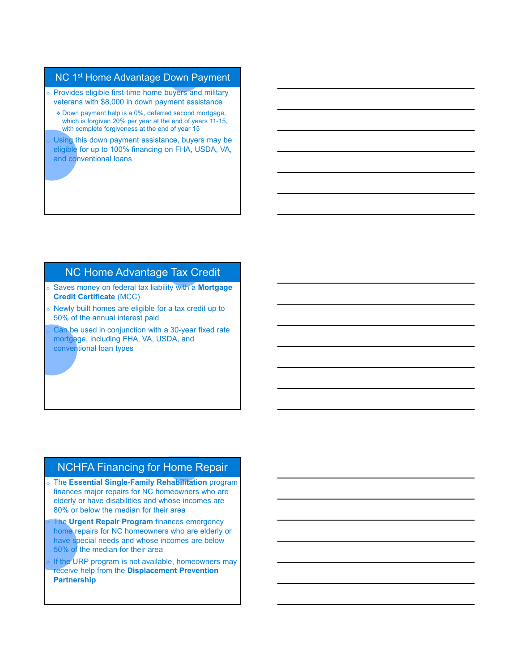#### NC 1<sup>st</sup> Home Advantage Down Payment

- o Provides eligible first-time home buyers and military veterans with \$8,000 in down payment assistance
	- Down payment help is a 0%, deferred second mortgage, which is forgiven 20% per year at the end of years 11-15, with complete forgiveness at the end of year 15
- Using this down payment assistance, buyers may be eligible for up to 100% financing on FHA, USDA, VA, and conventional loans

# NC Home Advantage Tax Credit

- o Saves money on federal tax liability with a **Mortgage Credit Certificate** (MCC)
- o Newly built homes are eligible for a tax credit up to 50% of the annual interest paid
- Can be used in conjunction with a 30-year fixed rate mortgage, including FHA, VA, USDA, and conventional loan types

## NCHFA Financing for Home Repair

- o The **Essential Single-Family Rehabilitation** program finances major repairs for NC homeowners who are elderly or have disabilities and whose incomes are 80% or below the median for their area
- **The Urgent Repair Program** finances emergency home repairs for NC homeowners who are elderly or have special needs and whose incomes are below 50% of the median for their area
- If the URP program is not available, homeowners may receive help from the **Displacement Prevention Partnership**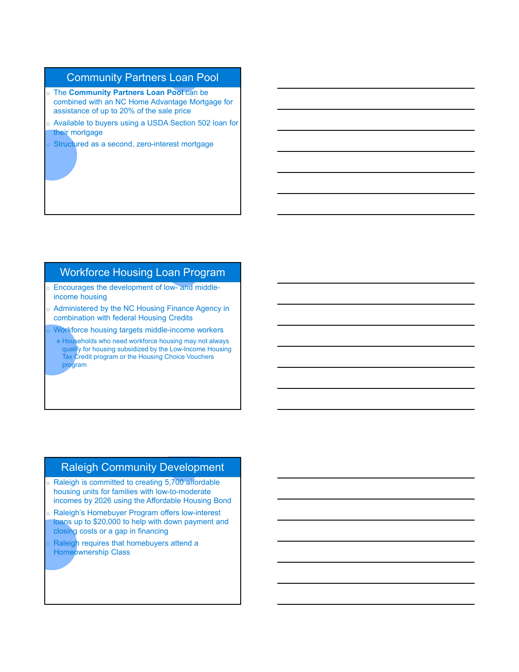## Community Partners Loan Pool

- o The **Community Partners Loan Pool** can be combined with an NC Home Advantage Mortgage for assistance of up to 20% of the sale price
- o Available to buyers using a USDA Section 502 loan for their mortgage
- Structured as a second, zero-interest mortgage

## Workforce Housing Loan Program

- o Encourages the development of low- and middleincome housing
- o Administered by the NC Housing Finance Agency in combination with federal Housing Credits
- Workforce housing targets middle-income workers
- Households who need workforce housing may not always qualify for housing subsidized by the Low-Income Housing Tax Credit program or the Housing Choice Vouchers program

#### Raleigh Community Development

- o Raleigh is committed to creating 5,700 affordable housing units for families with low-to-moderate incomes by 2026 using the Affordable Housing Bond
- Raleigh's Homebuyer Program offers low-interest loans up to \$20,000 to help with down payment and closing costs or a gap in financing
- Raleigh requires that homebuyers attend a Homeownership Class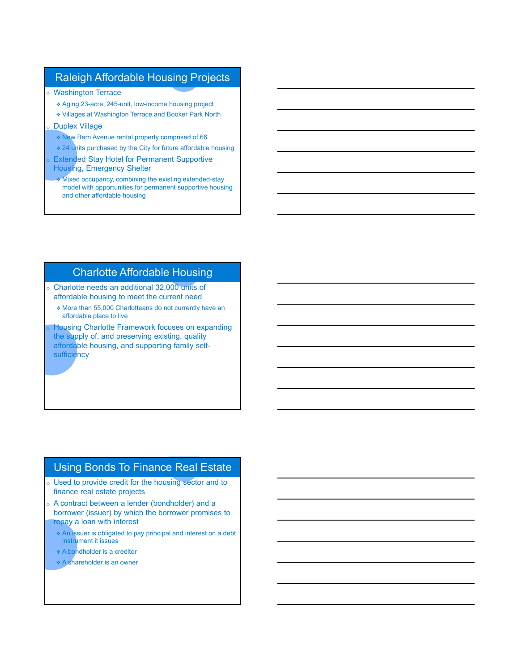## Raleigh Affordable Housing Projects

- o Washington Terrace
	- Aging 23-acre, 245-unit, low-income housing project
	- Villages at Washington Terrace and Booker Park North
- **Duplex Village** 
	- New Bern Avenue rental property comprised of 66
	- 24 units purchased by the City for future affordable housing
- **Extended Stay Hotel for Permanent Supportive** Housing, Emergency Shelter
- Mixed occupancy, combining the existing extended-stay model with opportunities for permanent supportive housing and other affordable housing

## Charlotte Affordable Housing

- o Charlotte needs an additional 32,000 units of affordable housing to meet the current need
	- More than 55,000 Charlotteans do not currently have an affordable place to live

Housing Charlotte Framework focuses on expanding the supply of, and preserving existing, quality affordable housing, and supporting family selfsufficiency

## Using Bonds To Finance Real Estate

- o Used to provide credit for the housing sector and to finance real estate projects
- $\circ$  A contract between a lender (bondholder) and a borrower (issuer) by which the borrower promises to repay a loan with interest
	- An issuer is obligated to pay principal and interest on a debt instrument it issues
	- A bondholder is a creditor
	- A shareholder is an owner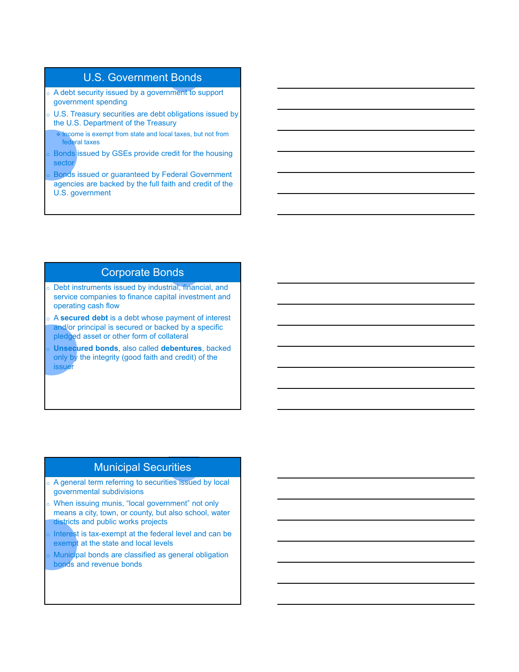## U.S. Government Bonds

- o A debt security issued by a government to support government spending
- o U.S. Treasury securities are debt obligations issued by the U.S. Department of the Treasury

 Income is exempt from state and local taxes, but not from federal taxes

Bonds issued by GSEs provide credit for the housing sector

Bonds issued or guaranteed by Federal Government agencies are backed by the full faith and credit of the U.S. government

#### Corporate Bonds

- o Debt instruments issued by industrial, financial, and service companies to finance capital investment and operating cash flow
- o A **secured debt** is a debt whose payment of interest and/or principal is secured or backed by a specific pledged asset or other form of collateral
- **Unsecured bonds**, also called **debentures**, backed only by the integrity (good faith and credit) of the issuer

# Municipal Securities

- o A general term referring to securities issued by local governmental subdivisions
- o When issuing munis, "local government" not only means a city, town, or county, but also school, water districts and public works projects
- Interest is tax-exempt at the federal level and can be exempt at the state and local levels
- Municipal bonds are classified as general obligation bonds and revenue bonds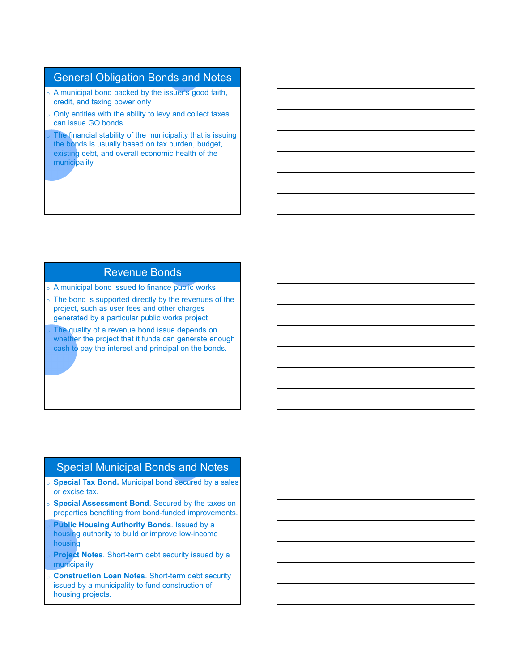## General Obligation Bonds and Notes

- o A municipal bond backed by the issuer's good faith, credit, and taxing power only
- $\circ$  Only entities with the ability to levy and collect taxes can issue GO bonds
- The financial stability of the municipality that is issuing the bonds is usually based on tax burden, budget, existing debt, and overall economic health of the municipality

## Revenue Bonds

- o A municipal bond issued to finance public works
- $\circ$  The bond is supported directly by the revenues of the project, such as user fees and other charges generated by a particular public works project
- The quality of a revenue bond issue depends on whether the project that it funds can generate enough cash to pay the interest and principal on the bonds.

#### Special Municipal Bonds and Notes

- o **Special Tax Bond.** Municipal bond secured by a sales or excise tax.
- **Special Assessment Bond**. Secured by the taxes on properties benefiting from bond-funded improvements.
- **Public Housing Authority Bonds**. Issued by a housing authority to build or improve low-income housing
- **Project Notes**. Short-term debt security issued by a municipality.
- **Construction Loan Notes**. Short-term debt security issued by a municipality to fund construction of housing projects.